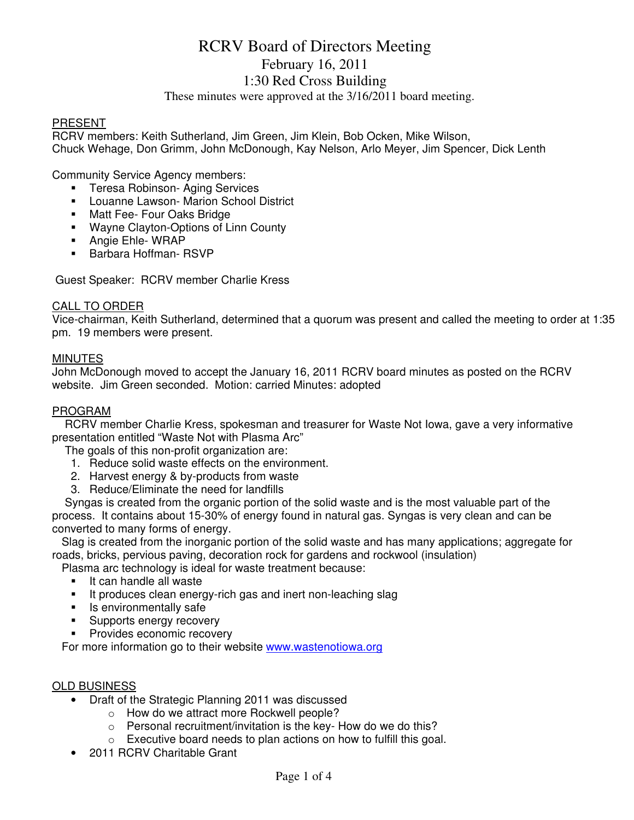# RCRV Board of Directors Meeting February 16, 2011 1:30 Red Cross Building

These minutes were approved at the 3/16/2011 board meeting.

#### PRESENT

RCRV members: Keith Sutherland, Jim Green, Jim Klein, Bob Ocken, Mike Wilson, Chuck Wehage, Don Grimm, John McDonough, Kay Nelson, Arlo Meyer, Jim Spencer, Dick Lenth

Community Service Agency members:

- **Teresa Robinson- Aging Services**
- **-** Louanne Lawson- Marion School District
- **Matt Fee- Four Oaks Bridge**
- **Wayne Clayton-Options of Linn County**
- **Angie Ehle- WRAP**
- **Barbara Hoffman- RSVP**

Guest Speaker: RCRV member Charlie Kress

#### CALL TO ORDER

Vice-chairman, Keith Sutherland, determined that a quorum was present and called the meeting to order at 1:35 pm. 19 members were present.

#### **MINUTES**

John McDonough moved to accept the January 16, 2011 RCRV board minutes as posted on the RCRV website. Jim Green seconded. Motion: carried Minutes: adopted

#### PROGRAM

 RCRV member Charlie Kress, spokesman and treasurer for Waste Not Iowa, gave a very informative presentation entitled "Waste Not with Plasma Arc"

The goals of this non-profit organization are:

- 1. Reduce solid waste effects on the environment.
- 2. Harvest energy & by-products from waste
- 3. Reduce/Eliminate the need for landfills

 Syngas is created from the organic portion of the solid waste and is the most valuable part of the process. It contains about 15-30% of energy found in natural gas. Syngas is very clean and can be converted to many forms of energy.

 Slag is created from the inorganic portion of the solid waste and has many applications; aggregate for roads, bricks, pervious paving, decoration rock for gardens and rockwool (insulation)

Plasma arc technology is ideal for waste treatment because:

- **It can handle all waste**
- It produces clean energy-rich gas and inert non-leaching slag
- **In Its environmentally safe**
- **Supports energy recovery**
- **Provides economic recovery**

For more information go to their website www.wastenotiowa.org

#### OLD BUSINESS

- Draft of the Strategic Planning 2011 was discussed
	- o How do we attract more Rockwell people?
	- o Personal recruitment/invitation is the key- How do we do this?
	- o Executive board needs to plan actions on how to fulfill this goal.
	- 2011 RCRV Charitable Grant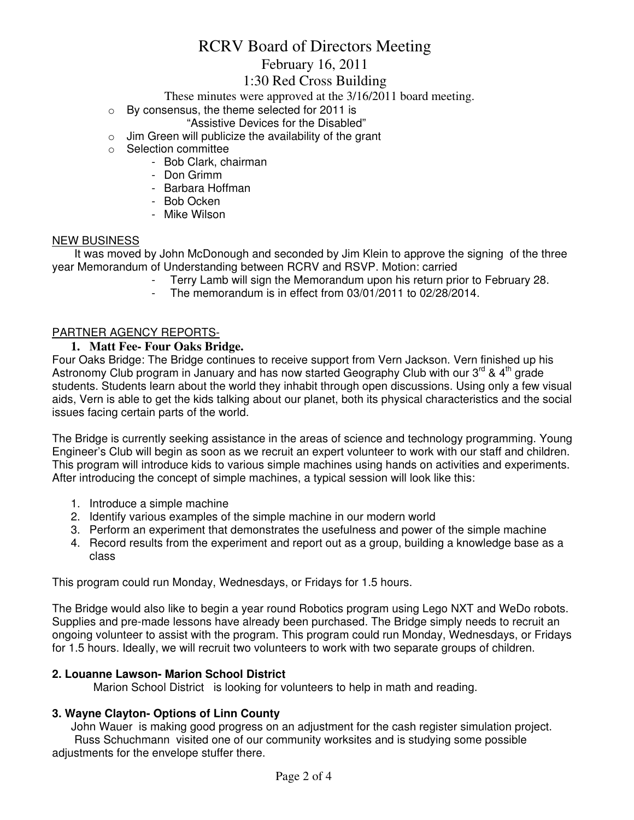# RCRV Board of Directors Meeting February 16, 2011

## 1:30 Red Cross Building

These minutes were approved at the 3/16/2011 board meeting.

- o By consensus, the theme selected for 2011 is
	- "Assistive Devices for the Disabled"
- $\circ$  Jim Green will publicize the availability of the grant
- o Selection committee
	- Bob Clark, chairman
	- Don Grimm
	- Barbara Hoffman
	- Bob Ocken
	- Mike Wilson

#### NEW BUSINESS

 It was moved by John McDonough and seconded by Jim Klein to approve the signing of the three year Memorandum of Understanding between RCRV and RSVP. Motion: carried

- Terry Lamb will sign the Memorandum upon his return prior to February 28.
	- The memorandum is in effect from  $03/01/2011$  to  $02/28/2014$ .

#### PARTNER AGENCY REPORTS-

#### **1. Matt Fee- Four Oaks Bridge.**

Four Oaks Bridge: The Bridge continues to receive support from Vern Jackson. Vern finished up his Astronomy Club program in January and has now started Geography Club with our  $3^{rd}$  & 4<sup>th</sup> grade students. Students learn about the world they inhabit through open discussions. Using only a few visual aids, Vern is able to get the kids talking about our planet, both its physical characteristics and the social issues facing certain parts of the world.

The Bridge is currently seeking assistance in the areas of science and technology programming. Young Engineer's Club will begin as soon as we recruit an expert volunteer to work with our staff and children. This program will introduce kids to various simple machines using hands on activities and experiments. After introducing the concept of simple machines, a typical session will look like this:

- 1. Introduce a simple machine
- 2. Identify various examples of the simple machine in our modern world
- 3. Perform an experiment that demonstrates the usefulness and power of the simple machine
- 4. Record results from the experiment and report out as a group, building a knowledge base as a class

This program could run Monday, Wednesdays, or Fridays for 1.5 hours.

The Bridge would also like to begin a year round Robotics program using Lego NXT and WeDo robots. Supplies and pre-made lessons have already been purchased. The Bridge simply needs to recruit an ongoing volunteer to assist with the program. This program could run Monday, Wednesdays, or Fridays for 1.5 hours. Ideally, we will recruit two volunteers to work with two separate groups of children.

#### **2. Louanne Lawson- Marion School District**

Marion School District is looking for volunteers to help in math and reading.

#### **3. Wayne Clayton- Options of Linn County**

 John Wauer is making good progress on an adjustment for the cash register simulation project. Russ Schuchmann visited one of our community worksites and is studying some possible adjustments for the envelope stuffer there.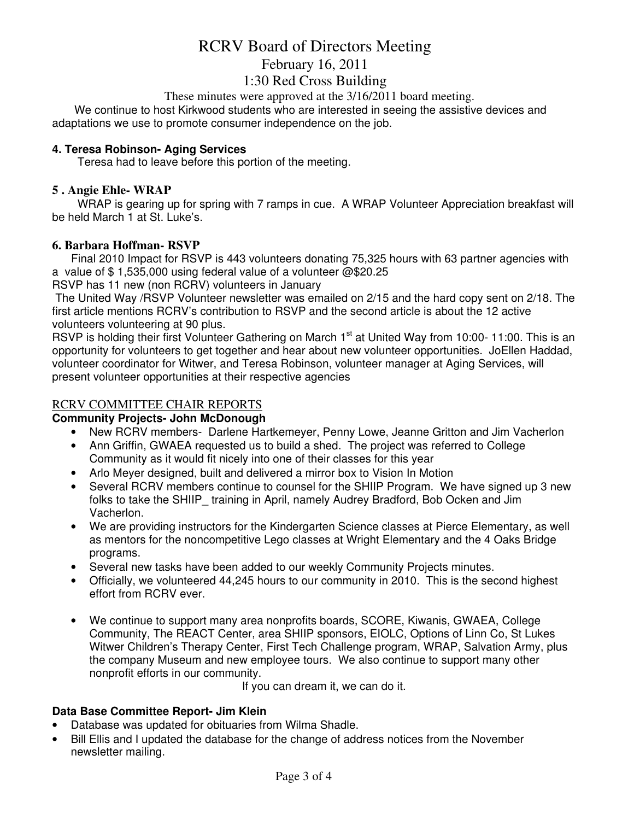# RCRV Board of Directors Meeting February 16, 2011 1:30 Red Cross Building

These minutes were approved at the 3/16/2011 board meeting.

 We continue to host Kirkwood students who are interested in seeing the assistive devices and adaptations we use to promote consumer independence on the job.

#### **4. Teresa Robinson- Aging Services**

Teresa had to leave before this portion of the meeting.

#### **5 . Angie Ehle- WRAP**

WRAP is gearing up for spring with 7 ramps in cue. A WRAP Volunteer Appreciation breakfast will be held March 1 at St. Luke's.

#### **6. Barbara Hoffman- RSVP**

 Final 2010 Impact for RSVP is 443 volunteers donating 75,325 hours with 63 partner agencies with a value of \$ 1,535,000 using federal value of a volunteer @\$20.25

RSVP has 11 new (non RCRV) volunteers in January

 The United Way /RSVP Volunteer newsletter was emailed on 2/15 and the hard copy sent on 2/18. The first article mentions RCRV's contribution to RSVP and the second article is about the 12 active volunteers volunteering at 90 plus.

RSVP is holding their first Volunteer Gathering on March 1<sup>st</sup> at United Way from 10:00-11:00. This is an opportunity for volunteers to get together and hear about new volunteer opportunities. JoEllen Haddad, volunteer coordinator for Witwer, and Teresa Robinson, volunteer manager at Aging Services, will present volunteer opportunities at their respective agencies

## RCRV COMMITTEE CHAIR REPORTS

#### **Community Projects- John McDonough**

- New RCRV members- Darlene Hartkemeyer, Penny Lowe, Jeanne Gritton and Jim Vacherlon
- Ann Griffin, GWAEA requested us to build a shed. The project was referred to College Community as it would fit nicely into one of their classes for this year
- Arlo Meyer designed, built and delivered a mirror box to Vision In Motion
- Several RCRV members continue to counsel for the SHIIP Program. We have signed up 3 new folks to take the SHIIP training in April, namely Audrey Bradford, Bob Ocken and Jim Vacherlon.
- We are providing instructors for the Kindergarten Science classes at Pierce Elementary, as well as mentors for the noncompetitive Lego classes at Wright Elementary and the 4 Oaks Bridge programs.
- Several new tasks have been added to our weekly Community Projects minutes.
- Officially, we volunteered 44,245 hours to our community in 2010. This is the second highest effort from RCRV ever.
- We continue to support many area nonprofits boards, SCORE, Kiwanis, GWAEA, College Community, The REACT Center, area SHIIP sponsors, EIOLC, Options of Linn Co, St Lukes Witwer Children's Therapy Center, First Tech Challenge program, WRAP, Salvation Army, plus the company Museum and new employee tours. We also continue to support many other nonprofit efforts in our community.

If you can dream it, we can do it.

#### **Data Base Committee Report- Jim Klein**

- Database was updated for obituaries from Wilma Shadle.
- Bill Ellis and I updated the database for the change of address notices from the November newsletter mailing.